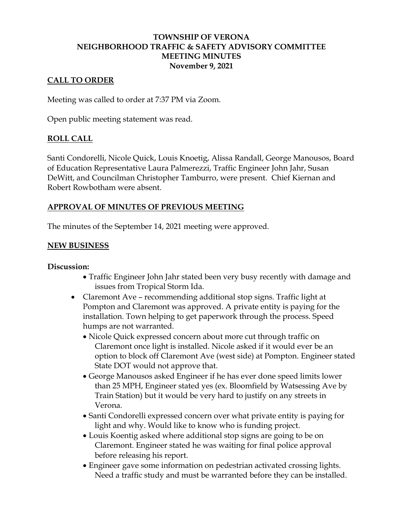## **TOWNSHIP OF VERONA NEIGHBORHOOD TRAFFIC & SAFETY ADVISORY COMMITTEE MEETING MINUTES November 9, 2021**

## **CALL TO ORDER**

Meeting was called to order at 7:37 PM via Zoom.

Open public meeting statement was read.

#### **ROLL CALL**

Santi Condorelli, Nicole Quick, Louis Knoetig, Alissa Randall, George Manousos, Board of Education Representative Laura Palmerezzi, Traffic Engineer John Jahr, Susan DeWitt, and Councilman Christopher Tamburro, were present. Chief Kiernan and Robert Rowbotham were absent.

#### **APPROVAL OF MINUTES OF PREVIOUS MEETING**

The minutes of the September 14, 2021 meeting were approved.

#### **NEW BUSINESS**

#### **Discussion:**

- Traffic Engineer John Jahr stated been very busy recently with damage and issues from Tropical Storm Ida.
- Claremont Ave recommending additional stop signs. Traffic light at Pompton and Claremont was approved. A private entity is paying for the installation. Town helping to get paperwork through the process. Speed humps are not warranted.
	- Nicole Quick expressed concern about more cut through traffic on Claremont once light is installed. Nicole asked if it would ever be an option to block off Claremont Ave (west side) at Pompton. Engineer stated State DOT would not approve that.
	- George Manousos asked Engineer if he has ever done speed limits lower than 25 MPH, Engineer stated yes (ex. Bloomfield by Watsessing Ave by Train Station) but it would be very hard to justify on any streets in Verona.
	- Santi Condorelli expressed concern over what private entity is paying for light and why. Would like to know who is funding project.
	- Louis Koentig asked where additional stop signs are going to be on Claremont. Engineer stated he was waiting for final police approval before releasing his report.
	- Engineer gave some information on pedestrian activated crossing lights. Need a traffic study and must be warranted before they can be installed.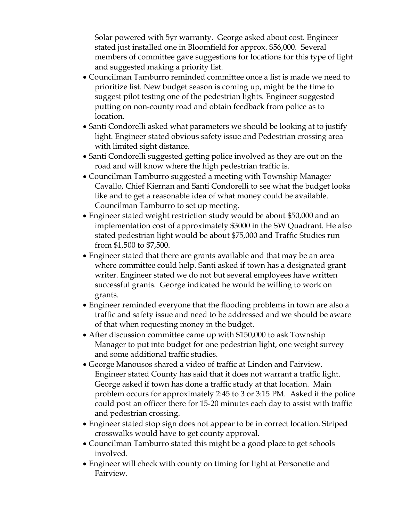Solar powered with 5yr warranty. George asked about cost. Engineer stated just installed one in Bloomfield for approx. \$56,000. Several members of committee gave suggestions for locations for this type of light and suggested making a priority list.

- Councilman Tamburro reminded committee once a list is made we need to prioritize list. New budget season is coming up, might be the time to suggest pilot testing one of the pedestrian lights. Engineer suggested putting on non-county road and obtain feedback from police as to location.
- Santi Condorelli asked what parameters we should be looking at to justify light. Engineer stated obvious safety issue and Pedestrian crossing area with limited sight distance.
- Santi Condorelli suggested getting police involved as they are out on the road and will know where the high pedestrian traffic is.
- Councilman Tamburro suggested a meeting with Township Manager Cavallo, Chief Kiernan and Santi Condorelli to see what the budget looks like and to get a reasonable idea of what money could be available. Councilman Tamburro to set up meeting.
- Engineer stated weight restriction study would be about \$50,000 and an implementation cost of approximately \$3000 in the SW Quadrant. He also stated pedestrian light would be about \$75,000 and Traffic Studies run from \$1,500 to \$7,500.
- Engineer stated that there are grants available and that may be an area where committee could help. Santi asked if town has a designated grant writer. Engineer stated we do not but several employees have written successful grants. George indicated he would be willing to work on grants.
- Engineer reminded everyone that the flooding problems in town are also a traffic and safety issue and need to be addressed and we should be aware of that when requesting money in the budget.
- After discussion committee came up with \$150,000 to ask Township Manager to put into budget for one pedestrian light, one weight survey and some additional traffic studies.
- George Manousos shared a video of traffic at Linden and Fairview. Engineer stated County has said that it does not warrant a traffic light. George asked if town has done a traffic study at that location. Main problem occurs for approximately 2:45 to 3 or 3:15 PM. Asked if the police could post an officer there for 15-20 minutes each day to assist with traffic and pedestrian crossing.
- Engineer stated stop sign does not appear to be in correct location. Striped crosswalks would have to get county approval.
- Councilman Tamburro stated this might be a good place to get schools involved.
- Engineer will check with county on timing for light at Personette and Fairview.